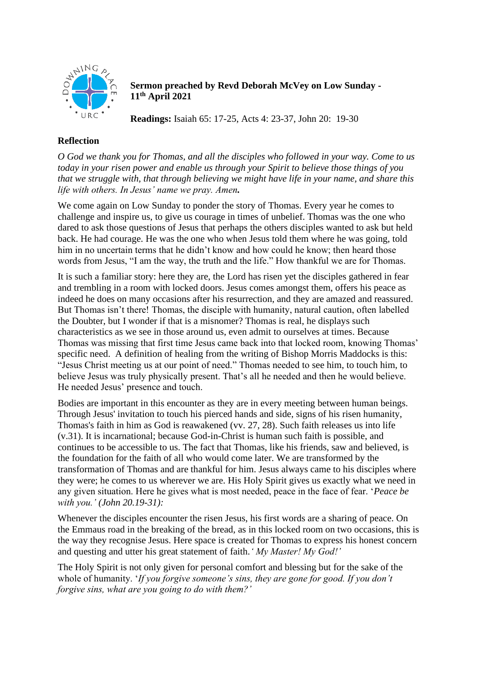

**Sermon preached by Revd Deborah McVey on Low Sunday - 11th April 2021**

**Readings:** Isaiah 65: 17-25, Acts 4: 23-37, John 20: 19-30

## **Reflection**

*O God we thank you for Thomas, and all the disciples who followed in your way. Come to us today in your risen power and enable us through your Spirit to believe those things of you that we struggle with, that through believing we might have life in your name, and share this life with others. In Jesus' name we pray. Amen.*

We come again on Low Sunday to ponder the story of Thomas. Every year he comes to challenge and inspire us, to give us courage in times of unbelief. Thomas was the one who dared to ask those questions of Jesus that perhaps the others disciples wanted to ask but held back. He had courage. He was the one who when Jesus told them where he was going, told him in no uncertain terms that he didn't know and how could he know; then heard those words from Jesus, "I am the way, the truth and the life." How thankful we are for Thomas.

It is such a familiar story: here they are, the Lord has risen yet the disciples gathered in fear and trembling in a room with locked doors. Jesus comes amongst them, offers his peace as indeed he does on many occasions after his resurrection, and they are amazed and reassured. But Thomas isn't there! Thomas, the disciple with humanity, natural caution, often labelled the Doubter, but I wonder if that is a misnomer? Thomas is real, he displays such characteristics as we see in those around us, even admit to ourselves at times. Because Thomas was missing that first time Jesus came back into that locked room, knowing Thomas' specific need. A definition of healing from the writing of Bishop Morris Maddocks is this: "Jesus Christ meeting us at our point of need." Thomas needed to see him, to touch him, to believe Jesus was truly physically present. That's all he needed and then he would believe. He needed Jesus' presence and touch.

Bodies are important in this encounter as they are in every meeting between human beings. Through Jesus' invitation to touch his pierced hands and side, signs of his risen humanity, Thomas's faith in him as God is reawakened (vv. 27, 28). Such faith releases us into life (v.31). It is incarnational; because God-in-Christ is human such faith is possible, and continues to be accessible to us. The fact that Thomas, like his friends, saw and believed, is the foundation for the faith of all who would come later. We are transformed by the transformation of Thomas and are thankful for him. Jesus always came to his disciples where they were; he comes to us wherever we are. His Holy Spirit gives us exactly what we need in any given situation. Here he gives what is most needed, peace in the face of fear. '*Peace be with you.' (John 20.19-31):*

Whenever the disciples encounter the risen Jesus, his first words are a sharing of peace. On the Emmaus road in the breaking of the bread, as in this locked room on two occasions, this is the way they recognise Jesus. Here space is created for Thomas to express his honest concern and questing and utter his great statement of faith.*' My Master! My God!'*

The Holy Spirit is not only given for personal comfort and blessing but for the sake of the whole of humanity. '*If you forgive someone's sins, they are gone for good. If you don't forgive sins, what are you going to do with them?'*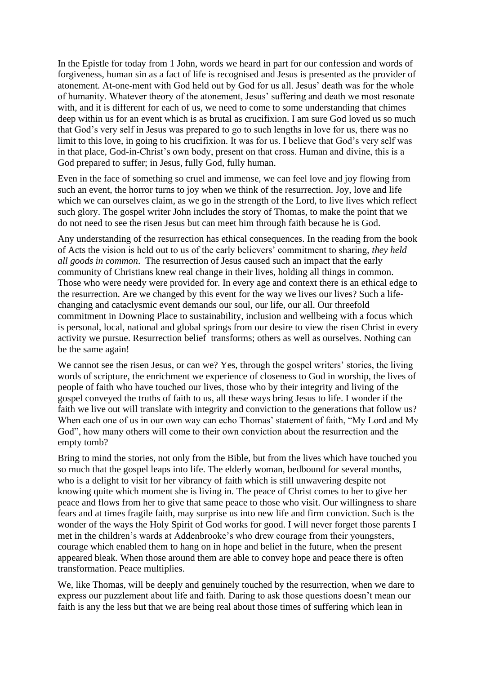In the Epistle for today from 1 John, words we heard in part for our confession and words of forgiveness, human sin as a fact of life is recognised and Jesus is presented as the provider of atonement. At-one-ment with God held out by God for us all. Jesus' death was for the whole of humanity. Whatever theory of the atonement, Jesus' suffering and death we most resonate with, and it is different for each of us, we need to come to some understanding that chimes deep within us for an event which is as brutal as crucifixion. I am sure God loved us so much that God's very self in Jesus was prepared to go to such lengths in love for us, there was no limit to this love, in going to his crucifixion. It was for us. I believe that God's very self was in that place, God-in-Christ's own body, present on that cross. Human and divine, this is a God prepared to suffer; in Jesus, fully God, fully human.

Even in the face of something so cruel and immense, we can feel love and joy flowing from such an event, the horror turns to joy when we think of the resurrection. Joy, love and life which we can ourselves claim, as we go in the strength of the Lord, to live lives which reflect such glory. The gospel writer John includes the story of Thomas, to make the point that we do not need to see the risen Jesus but can meet him through faith because he is God.

Any understanding of the resurrection has ethical consequences. In the reading from the book of Acts the vision is held out to us of the early believers' commitment to sharing, *they held all goods in common*. The resurrection of Jesus caused such an impact that the early community of Christians knew real change in their lives, holding all things in common. Those who were needy were provided for. In every age and context there is an ethical edge to the resurrection. Are we changed by this event for the way we lives our lives? Such a lifechanging and cataclysmic event demands our soul, our life, our all. Our threefold commitment in Downing Place to sustainability, inclusion and wellbeing with a focus which is personal, local, national and global springs from our desire to view the risen Christ in every activity we pursue. Resurrection belief transforms; others as well as ourselves. Nothing can be the same again!

We cannot see the risen Jesus, or can we? Yes, through the gospel writers' stories, the living words of scripture, the enrichment we experience of closeness to God in worship, the lives of people of faith who have touched our lives, those who by their integrity and living of the gospel conveyed the truths of faith to us, all these ways bring Jesus to life. I wonder if the faith we live out will translate with integrity and conviction to the generations that follow us? When each one of us in our own way can echo Thomas' statement of faith, "My Lord and My God", how many others will come to their own conviction about the resurrection and the empty tomb?

Bring to mind the stories, not only from the Bible, but from the lives which have touched you so much that the gospel leaps into life. The elderly woman, bedbound for several months, who is a delight to visit for her vibrancy of faith which is still unwavering despite not knowing quite which moment she is living in. The peace of Christ comes to her to give her peace and flows from her to give that same peace to those who visit. Our willingness to share fears and at times fragile faith, may surprise us into new life and firm conviction. Such is the wonder of the ways the Holy Spirit of God works for good. I will never forget those parents I met in the children's wards at Addenbrooke's who drew courage from their youngsters, courage which enabled them to hang on in hope and belief in the future, when the present appeared bleak. When those around them are able to convey hope and peace there is often transformation. Peace multiplies.

We, like Thomas, will be deeply and genuinely touched by the resurrection, when we dare to express our puzzlement about life and faith. Daring to ask those questions doesn't mean our faith is any the less but that we are being real about those times of suffering which lean in